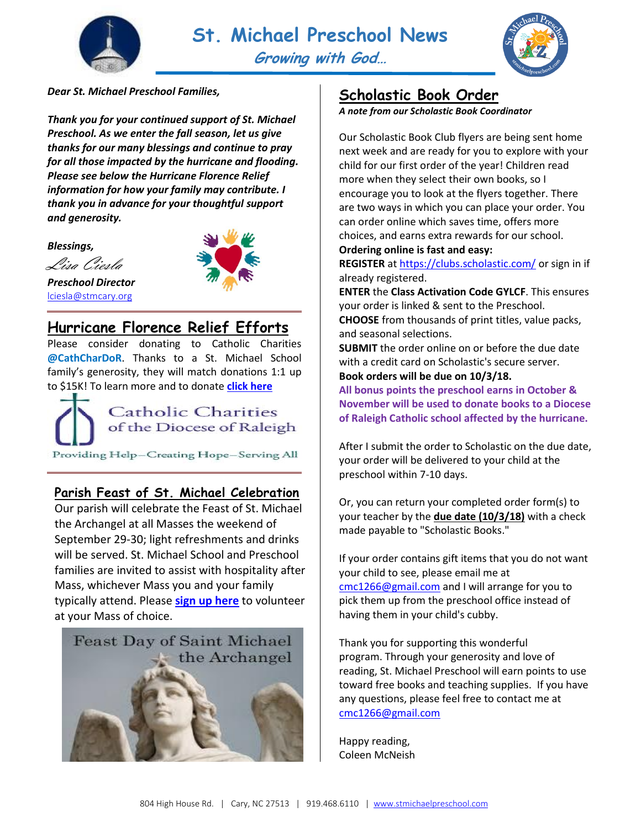



#### *Dear St. Michael Preschool Families,*

*Thank you for your continued support of St. Michael Preschool. As we enter the fall season, let us give thanks for our many blessings and continue to pray for all those impacted by the hurricane and flooding. Please see below the Hurricane Florence Relief information for how your family may contribute. I thank you in advance for your thoughtful support and generosity.*

*Blessings,*

Lisa Ciesla *Preschool Director* [lciesla@stmcary.org](mailto:lciesla@stmcary.org)



## **Hurricane Florence Relief Efforts**

Please consider donating to Catholic Charities **@CathCharDoR**. Thanks to a St. Michael School family's generosity, they will match donations 1:1 up to \$15K! To learn more and to donate **[click here](https://secure2.convio.net/raldio/site/Donation2?df_id=1925&mfc_pref=T&1925.donation=form1)**



### **Parish Feast of St. Michael Celebration**

Our parish will celebrate the Feast of St. Michael the Archangel at all Masses the weekend of September 29-30; light refreshments and drinks will be served. St. Michael School and Preschool families are invited to assist with hospitality after Mass, whichever Mass you and your family typically attend. Please **[sign up here](https://www.signupgenius.com/go/8050949a4a7292-feast1)** to volunteer at your Mass of choice.



### **Scholastic Book Order**

*A note from our Scholastic Book Coordinator*

Our Scholastic Book Club flyers are being sent home next week and are ready for you to explore with your child for our first order of the year! Children read more when they select their own books, so I encourage you to look at the flyers together. There are two ways in which you can place your order. You can order online which saves time, offers more choices, and earns extra rewards for our school.

**Ordering online is fast and easy:**

**REGISTER** a[t https://clubs.scholastic.com/](https://clubs.scholastic.com/) or sign in if already registered.

**ENTER** the **Class Activation Code GYLCF**. This ensures your order is linked & sent to the Preschool.

**CHOOSE** from thousands of print titles, value packs, and seasonal selections.

**SUBMIT** the order online on or before the due date with a credit card on Scholastic's secure server.

**Book orders will be due on 10/3/18.**

**All bonus points the preschool earns in October & November will be used to donate books to a Diocese of Raleigh Catholic school affected by the hurricane.**

After I submit the order to Scholastic on the due date, your order will be delivered to your child at the preschool within 7-10 days.

Or, you can return your completed order form(s) to your teacher by the **due date (10/3/18)** with a check made payable to "Scholastic Books."

If your order contains gift items that you do not want your child to see, please email me at [cmc1266@gmail.com](mailto:cmc1266@gmail.com) and I will arrange for you to pick them up from the preschool office instead of having them in your child's cubby.

Thank you for supporting this wonderful program. Through your generosity and love of reading, St. Michael Preschool will earn points to use toward free books and teaching supplies. If you have any questions, please feel free to contact me at [cmc1266@gmail.com](mailto:cmc1266@gmail.com)

Happy reading, Coleen McNeish